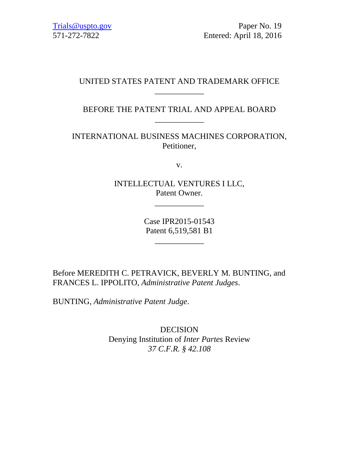Trials@uspto.gov Paper No. 19 571-272-7822 Entered: April 18, 2016

## UNITED STATES PATENT AND TRADEMARK OFFICE \_\_\_\_\_\_\_\_\_\_\_\_

## BEFORE THE PATENT TRIAL AND APPEAL BOARD \_\_\_\_\_\_\_\_\_\_\_\_

INTERNATIONAL BUSINESS MACHINES CORPORATION, Petitioner,

v.

INTELLECTUAL VENTURES I LLC, Patent Owner.

\_\_\_\_\_\_\_\_\_\_\_\_

Case IPR2015-01543 Patent 6,519,581 B1

\_\_\_\_\_\_\_\_\_\_\_\_

Before MEREDITH C. PETRAVICK, BEVERLY M. BUNTING, and FRANCES L. IPPOLITO, *Administrative Patent Judges*.

BUNTING, *Administrative Patent Judge*.

DECISION Denying Institution of *Inter Partes* Review *37 C.F.R. § 42.108*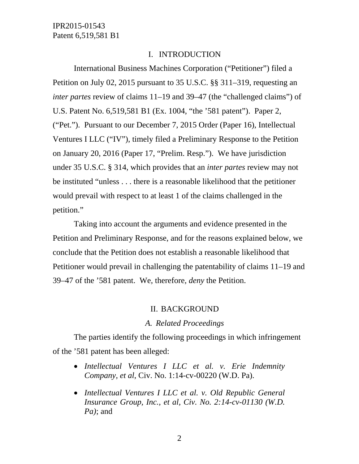### I. INTRODUCTION

International Business Machines Corporation ("Petitioner") filed a Petition on July 02, 2015 pursuant to 35 U.S.C. §§ 311–319, requesting an *inter partes* review of claims 11–19 and 39–47 (the "challenged claims") of U.S. Patent No. 6,519,581 B1 (Ex. 1004, "the '581 patent"). Paper 2, ("Pet."). Pursuant to our December 7, 2015 Order (Paper 16), Intellectual Ventures I LLC ("IV"), timely filed a Preliminary Response to the Petition on January 20, 2016 (Paper 17, "Prelim. Resp."). We have jurisdiction under 35 U.S.C. § 314, which provides that an *inter partes* review may not be instituted "unless . . . there is a reasonable likelihood that the petitioner would prevail with respect to at least 1 of the claims challenged in the petition."

Taking into account the arguments and evidence presented in the Petition and Preliminary Response, and for the reasons explained below, we conclude that the Petition does not establish a reasonable likelihood that Petitioner would prevail in challenging the patentability of claims 11–19 and 39–47 of the '581 patent. We, therefore, *deny* the Petition.

#### II. BACKGROUND

### *A. Related Proceedings*

The parties identify the following proceedings in which infringement of the '581 patent has been alleged:

- *Intellectual Ventures I LLC et al. v. Erie Indemnity Company, et al*, Civ. No. 1:14-cv-00220 (W.D. Pa).
- *Intellectual Ventures I LLC et al. v. Old Republic General Insurance Group, Inc., et al, Civ. No. 2:14-cv-01130 (W.D. Pa)*; and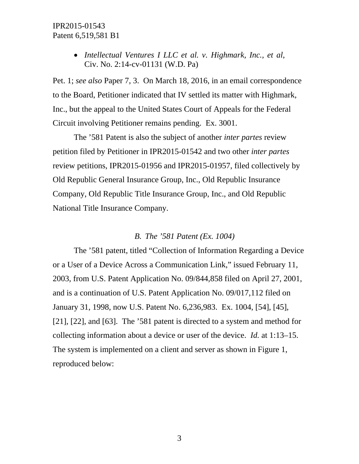*Intellectual Ventures I LLC et al. v. Highmark, Inc., et al*, Civ. No. 2:14-cv-01131 (W.D. Pa)

Pet. 1; *see also* Paper 7, 3. On March 18, 2016, in an email correspondence to the Board, Petitioner indicated that IV settled its matter with Highmark, Inc., but the appeal to the United States Court of Appeals for the Federal Circuit involving Petitioner remains pending. Ex. 3001.

The '581 Patent is also the subject of another *inter partes* review petition filed by Petitioner in IPR2015-01542 and two other *inter partes* review petitions, IPR2015-01956 and IPR2015-01957, filed collectively by Old Republic General Insurance Group, Inc., Old Republic Insurance Company, Old Republic Title Insurance Group, Inc., and Old Republic National Title Insurance Company.

### *B. The '581 Patent (Ex. 1004)*

The '581 patent, titled "Collection of Information Regarding a Device or a User of a Device Across a Communication Link," issued February 11, 2003, from U.S. Patent Application No. 09/844,858 filed on April 27, 2001, and is a continuation of U.S. Patent Application No. 09/017,112 filed on January 31, 1998, now U.S. Patent No. 6,236,983. Ex. 1004, [54], [45], [21], [22], and [63]. The '581 patent is directed to a system and method for collecting information about a device or user of the device. *Id.* at 1:13–15. The system is implemented on a client and server as shown in Figure 1, reproduced below: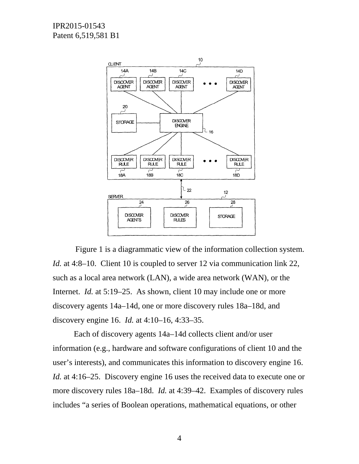

Figure 1 is a diagrammatic view of the information collection system. *Id.* at 4:8–10. Client 10 is coupled to server 12 via communication link 22, such as a local area network (LAN), a wide area network (WAN), or the Internet. *Id.* at 5:19–25. As shown, client 10 may include one or more discovery agents 14a–14d, one or more discovery rules 18a–18d, and discovery engine 16. *Id.* at 4:10–16, 4:33–35.

Each of discovery agents 14a–14d collects client and/or user information (e.g., hardware and software configurations of client 10 and the user's interests), and communicates this information to discovery engine 16. *Id.* at 4:16–25. Discovery engine 16 uses the received data to execute one or more discovery rules 18a–18d. *Id.* at 4:39–42. Examples of discovery rules includes "a series of Boolean operations, mathematical equations, or other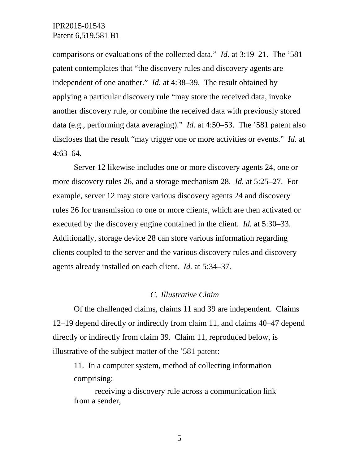comparisons or evaluations of the collected data." *Id.* at 3:19–21. The '581 patent contemplates that "the discovery rules and discovery agents are independent of one another." *Id.* at 4:38–39. The result obtained by applying a particular discovery rule "may store the received data, invoke another discovery rule, or combine the received data with previously stored data (e.g., performing data averaging)." *Id.* at 4:50–53. The '581 patent also discloses that the result "may trigger one or more activities or events." *Id.* at 4:63–64.

Server 12 likewise includes one or more discovery agents 24, one or more discovery rules 26, and a storage mechanism 28. *Id.* at 5:25–27. For example, server 12 may store various discovery agents 24 and discovery rules 26 for transmission to one or more clients, which are then activated or executed by the discovery engine contained in the client. *Id.* at 5:30–33. Additionally, storage device 28 can store various information regarding clients coupled to the server and the various discovery rules and discovery agents already installed on each client. *Id.* at 5:34–37.

### *C. Illustrative Claim*

Of the challenged claims, claims 11 and 39 are independent. Claims 12–19 depend directly or indirectly from claim 11, and claims 40–47 depend directly or indirectly from claim 39. Claim 11, reproduced below, is illustrative of the subject matter of the '581 patent:

11. In a computer system, method of collecting information comprising:

receiving a discovery rule across a communication link from a sender,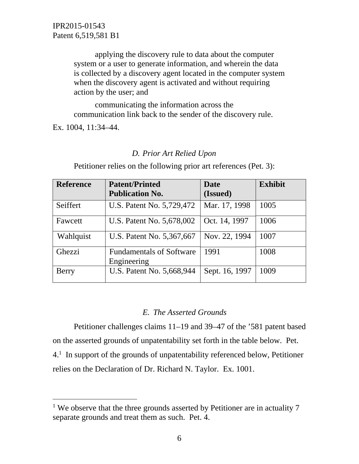> applying the discovery rule to data about the computer system or a user to generate information, and wherein the data is collected by a discovery agent located in the computer system when the discovery agent is activated and without requiring action by the user; and

communicating the information across the communication link back to the sender of the discovery rule.

Ex. 1004, 11:34–44.

 $\overline{a}$ 

### *D. Prior Art Relied Upon*

Petitioner relies on the following prior art references (Pet. 3):

| <b>Reference</b> | <b>Patent/Printed</b>                          | Date           | <b>Exhibit</b> |
|------------------|------------------------------------------------|----------------|----------------|
|                  | <b>Publication No.</b>                         | (Issued)       |                |
| Seiffert         | U.S. Patent No. 5,729,472                      | Mar. 17, 1998  | 1005           |
| Fawcett          | U.S. Patent No. 5,678,002                      | Oct. 14, 1997  | 1006           |
| Wahlquist        | U.S. Patent No. 5,367,667                      | Nov. 22, 1994  | 1007           |
| Ghezzi           | <b>Fundamentals of Software</b><br>Engineering | 1991           | 1008           |
| Berry            | U.S. Patent No. 5,668,944                      | Sept. 16, 1997 | 1009           |

## *E. The Asserted Grounds*

Petitioner challenges claims 11–19 and 39–47 of the '581 patent based on the asserted grounds of unpatentability set forth in the table below. Pet. 4.1 In support of the grounds of unpatentability referenced below, Petitioner relies on the Declaration of Dr. Richard N. Taylor. Ex. 1001.

<sup>&</sup>lt;sup>1</sup> We observe that the three grounds asserted by Petitioner are in actuality 7 separate grounds and treat them as such. Pet. 4.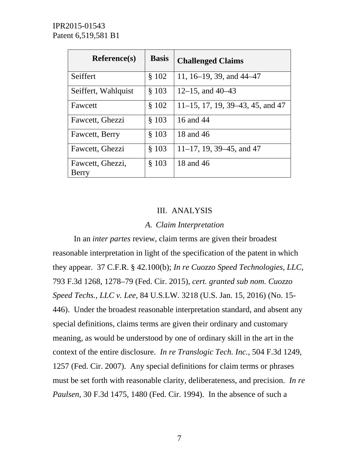| Reference(s)        | <b>Basis</b> | <b>Challenged Claims</b>            |
|---------------------|--------------|-------------------------------------|
| Seiffert            | \$102        | 11, 16–19, 39, and $44-47$          |
| Seiffert, Wahlquist | \$103        | $12-15$ , and $40-43$               |
| Fawcett             | \$102        | $11-15$ , 17, 19, 39-43, 45, and 47 |
| Fawcett, Ghezzi     | \$103        | 16 and 44                           |
| Fawcett, Berry      | \$103        | 18 and 46                           |
| Fawcett, Ghezzi     | \$103        | $11-17$ , 19, 39-45, and 47         |
| Fawcett, Ghezzi,    | $§$ 103      | 18 and 46                           |
| Berry               |              |                                     |

## III. ANALYSIS

### *A. Claim Interpretation*

 In an *inter partes* review, claim terms are given their broadest reasonable interpretation in light of the specification of the patent in which they appear. 37 C.F.R. § 42.100(b); *In re Cuozzo Speed Technologies, LLC*, 793 F.3d 1268, 1278–79 (Fed. Cir. 2015), *cert. granted sub nom. Cuozzo Speed Techs., LLC v. Lee*, 84 U.S.LW. 3218 (U.S. Jan. 15, 2016) (No. 15- 446). Under the broadest reasonable interpretation standard, and absent any special definitions, claims terms are given their ordinary and customary meaning, as would be understood by one of ordinary skill in the art in the context of the entire disclosure. *In re Translogic Tech. Inc.*, 504 F.3d 1249, 1257 (Fed. Cir. 2007). Any special definitions for claim terms or phrases must be set forth with reasonable clarity, deliberateness, and precision. *In re Paulsen*, 30 F.3d 1475, 1480 (Fed. Cir. 1994). In the absence of such a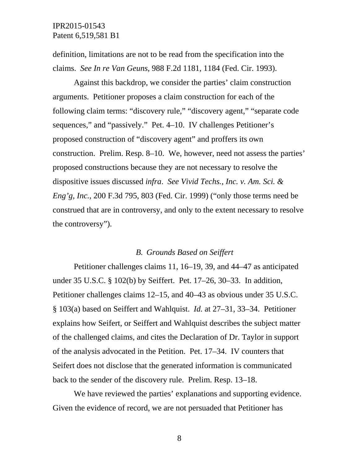definition, limitations are not to be read from the specification into the claims. *See In re Van Geuns*, 988 F.2d 1181, 1184 (Fed. Cir. 1993).

 Against this backdrop, we consider the parties' claim construction arguments. Petitioner proposes a claim construction for each of the following claim terms: "discovery rule," "discovery agent," "separate code sequences," and "passively." Pet. 4–10. IV challenges Petitioner's proposed construction of "discovery agent" and proffers its own construction. Prelim. Resp. 8–10. We, however, need not assess the parties' proposed constructions because they are not necessary to resolve the dispositive issues discussed *infra*. *See Vivid Techs., Inc. v. Am. Sci. & Eng'g, Inc.*, 200 F.3d 795, 803 (Fed. Cir. 1999) ("only those terms need be construed that are in controversy, and only to the extent necessary to resolve the controversy").

### *B. Grounds Based on Seiffert*

Petitioner challenges claims 11, 16–19, 39, and 44–47 as anticipated under 35 U.S.C. § 102(b) by Seiffert. Pet. 17–26, 30–33. In addition, Petitioner challenges claims 12–15, and 40–43 as obvious under 35 U.S.C. § 103(a) based on Seiffert and Wahlquist. *Id.* at 27–31, 33–34. Petitioner explains how Seifert, or Seiffert and Wahlquist describes the subject matter of the challenged claims, and cites the Declaration of Dr. Taylor in support of the analysis advocated in the Petition. Pet. 17–34. IV counters that Seifert does not disclose that the generated information is communicated back to the sender of the discovery rule. Prelim. Resp. 13–18.

We have reviewed the parties' explanations and supporting evidence. Given the evidence of record, we are not persuaded that Petitioner has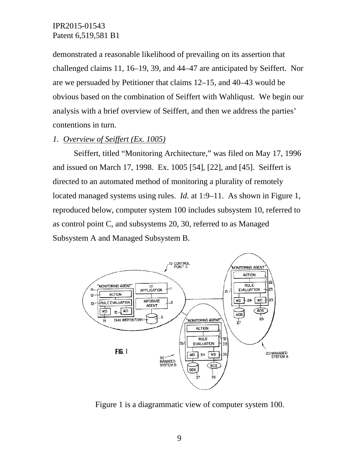demonstrated a reasonable likelihood of prevailing on its assertion that challenged claims 11, 16–19, 39, and 44–47 are anticipated by Seiffert. Nor are we persuaded by Petitioner that claims 12–15, and 40–43 would be obvious based on the combination of Seiffert with Wahliqust. We begin our analysis with a brief overview of Seiffert, and then we address the parties' contentions in turn.

### *1. Overview of Seiffert (Ex. 1005)*

Seiffert, titled "Monitoring Architecture," was filed on May 17, 1996 and issued on March 17, 1998. Ex. 1005 [54], [22], and [45]. Seiffert is directed to an automated method of monitoring a plurality of remotely located managed systems using rules. *Id.* at 1:9–11. As shown in Figure 1, reproduced below, computer system 100 includes subsystem 10, referred to as control point C, and subsystems 20, 30, referred to as Managed Subsystem A and Managed Subsystem B.



Figure 1 is a diagrammatic view of computer system 100.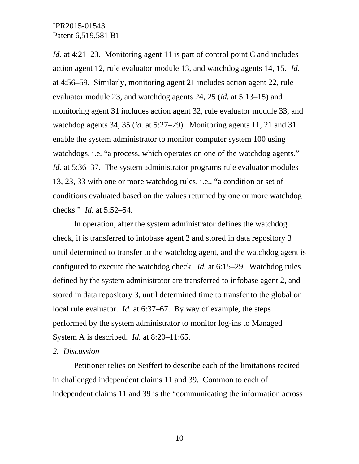*Id.* at 4:21–23. Monitoring agent 11 is part of control point C and includes action agent 12, rule evaluator module 13, and watchdog agents 14, 15. *Id.* at 4:56–59. Similarly, monitoring agent 21 includes action agent 22, rule evaluator module 23, and watchdog agents 24, 25 (*id.* at 5:13–15) and monitoring agent 31 includes action agent 32, rule evaluator module 33, and watchdog agents 34, 35 (*id.* at 5:27–29). Monitoring agents 11, 21 and 31 enable the system administrator to monitor computer system 100 using watchdogs, i.e. "a process, which operates on one of the watchdog agents." *Id.* at 5:36–37. The system administrator programs rule evaluator modules 13, 23, 33 with one or more watchdog rules, i.e., "a condition or set of conditions evaluated based on the values returned by one or more watchdog checks." *Id.* at 5:52–54.

In operation, after the system administrator defines the watchdog check, it is transferred to infobase agent 2 and stored in data repository 3 until determined to transfer to the watchdog agent, and the watchdog agent is configured to execute the watchdog check. *Id.* at 6:15–29. Watchdog rules defined by the system administrator are transferred to infobase agent 2, and stored in data repository 3, until determined time to transfer to the global or local rule evaluator. *Id.* at 6:37–67. By way of example, the steps performed by the system administrator to monitor log-ins to Managed System A is described. *Id.* at 8:20–11:65.

### *2. Discussion*

Petitioner relies on Seiffert to describe each of the limitations recited in challenged independent claims 11 and 39. Common to each of independent claims 11 and 39 is the "communicating the information across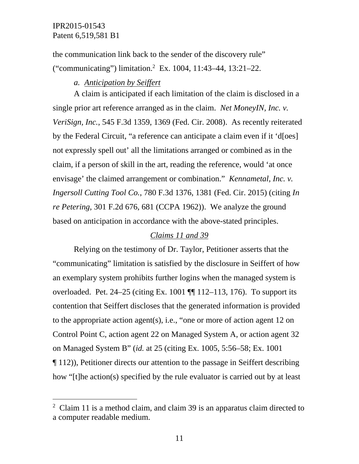-

the communication link back to the sender of the discovery rule" ("communicating") limitation.2 Ex. 1004, 11:43–44, 13:21–22.

### *a. Anticipation by Seiffert*

A claim is anticipated if each limitation of the claim is disclosed in a single prior art reference arranged as in the claim. *Net MoneyIN, Inc. v. VeriSign, Inc.*, 545 F.3d 1359, 1369 (Fed. Cir. 2008). As recently reiterated by the Federal Circuit, "a reference can anticipate a claim even if it 'd[oes] not expressly spell out' all the limitations arranged or combined as in the claim, if a person of skill in the art, reading the reference, would 'at once envisage' the claimed arrangement or combination." *Kennametal, Inc. v. Ingersoll Cutting Tool Co.*, 780 F.3d 1376, 1381 (Fed. Cir. 2015) (citing *In re Petering*, 301 F.2d 676, 681 (CCPA 1962)). We analyze the ground based on anticipation in accordance with the above-stated principles.

### *Claims 11 and 39*

Relying on the testimony of Dr. Taylor, Petitioner asserts that the "communicating" limitation is satisfied by the disclosure in Seiffert of how an exemplary system prohibits further logins when the managed system is overloaded. Pet. 24–25 (citing Ex. 1001 ¶¶ 112–113, 176). To support its contention that Seiffert discloses that the generated information is provided to the appropriate action agent(s), i.e., "one or more of action agent 12 on Control Point C, action agent 22 on Managed System A, or action agent 32 on Managed System B" (*id.* at 25 (citing Ex. 1005, 5:56–58; Ex. 1001 ¶ 112)), Petitioner directs our attention to the passage in Seiffert describing how "[t]he action(s) specified by the rule evaluator is carried out by at least

<sup>&</sup>lt;sup>2</sup> Claim 11 is a method claim, and claim 39 is an apparatus claim directed to a computer readable medium.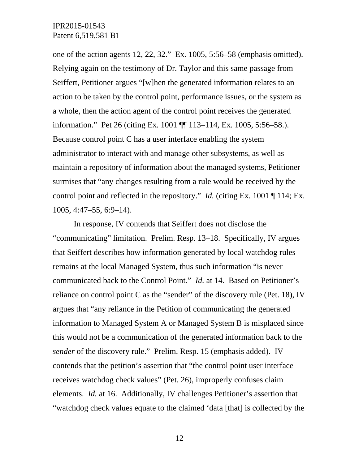one of the action agents 12, 22, 32." Ex. 1005, 5:56–58 (emphasis omitted). Relying again on the testimony of Dr. Taylor and this same passage from Seiffert, Petitioner argues "[w]hen the generated information relates to an action to be taken by the control point, performance issues, or the system as a whole, then the action agent of the control point receives the generated information." Pet 26 (citing Ex. 1001 ¶¶ 113–114, Ex. 1005, 5:56–58.). Because control point C has a user interface enabling the system administrator to interact with and manage other subsystems, as well as maintain a repository of information about the managed systems, Petitioner surmises that "any changes resulting from a rule would be received by the control point and reflected in the repository." *Id.* (citing Ex. 1001 ¶ 114; Ex. 1005, 4:47–55, 6:9–14).

In response, IV contends that Seiffert does not disclose the "communicating" limitation. Prelim. Resp. 13–18. Specifically, IV argues that Seiffert describes how information generated by local watchdog rules remains at the local Managed System, thus such information "is never communicated back to the Control Point." *Id.* at 14. Based on Petitioner's reliance on control point C as the "sender" of the discovery rule (Pet. 18), IV argues that "any reliance in the Petition of communicating the generated information to Managed System A or Managed System B is misplaced since this would not be a communication of the generated information back to the *sender* of the discovery rule." Prelim. Resp. 15 (emphasis added). IV contends that the petition's assertion that "the control point user interface receives watchdog check values" (Pet. 26), improperly confuses claim elements. *Id.* at 16. Additionally, IV challenges Petitioner's assertion that "watchdog check values equate to the claimed 'data [that] is collected by the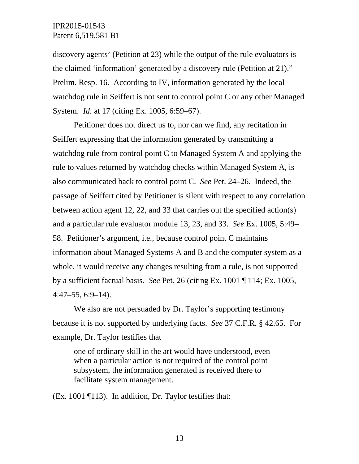discovery agents' (Petition at 23) while the output of the rule evaluators is the claimed 'information' generated by a discovery rule (Petition at 21)." Prelim. Resp. 16. According to IV, information generated by the local watchdog rule in Seiffert is not sent to control point C or any other Managed System. *Id.* at 17 (citing Ex. 1005, 6:59–67).

Petitioner does not direct us to, nor can we find, any recitation in Seiffert expressing that the information generated by transmitting a watchdog rule from control point C to Managed System A and applying the rule to values returned by watchdog checks within Managed System A, is also communicated back to control point C. *See* Pet. 24–26. Indeed, the passage of Seiffert cited by Petitioner is silent with respect to any correlation between action agent 12, 22, and 33 that carries out the specified action(s) and a particular rule evaluator module 13, 23, and 33. *See* Ex. 1005, 5:49– 58. Petitioner's argument, i.e., because control point C maintains information about Managed Systems A and B and the computer system as a whole, it would receive any changes resulting from a rule, is not supported by a sufficient factual basis. *See* Pet. 26 (citing Ex. 1001 ¶ 114; Ex. 1005,  $4:47-55, 6:9-14$ .

We also are not persuaded by Dr. Taylor's supporting testimony because it is not supported by underlying facts. *See* 37 C.F.R. § 42.65. For example, Dr. Taylor testifies that

one of ordinary skill in the art would have understood, even when a particular action is not required of the control point subsystem, the information generated is received there to facilitate system management.

(Ex. 1001 ¶113). In addition, Dr. Taylor testifies that: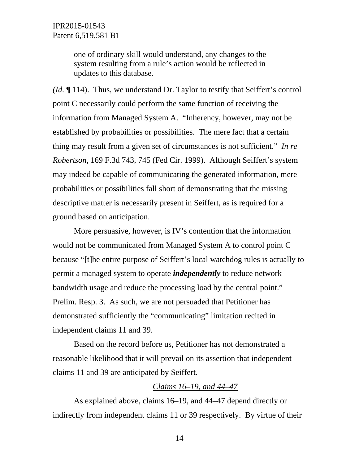one of ordinary skill would understand, any changes to the system resulting from a rule's action would be reflected in updates to this database.

*(Id.* ¶ 114). Thus, we understand Dr. Taylor to testify that Seiffert's control point C necessarily could perform the same function of receiving the information from Managed System A. "Inherency, however, may not be established by probabilities or possibilities. The mere fact that a certain thing may result from a given set of circumstances is not sufficient." *In re Robertson*, 169 F.3d 743, 745 (Fed Cir. 1999). Although Seiffert's system may indeed be capable of communicating the generated information, mere probabilities or possibilities fall short of demonstrating that the missing descriptive matter is necessarily present in Seiffert, as is required for a ground based on anticipation.

More persuasive, however, is IV's contention that the information would not be communicated from Managed System A to control point C because "[t]he entire purpose of Seiffert's local watchdog rules is actually to permit a managed system to operate *independently* to reduce network bandwidth usage and reduce the processing load by the central point." Prelim. Resp. 3. As such, we are not persuaded that Petitioner has demonstrated sufficiently the "communicating" limitation recited in independent claims 11 and 39.

Based on the record before us, Petitioner has not demonstrated a reasonable likelihood that it will prevail on its assertion that independent claims 11 and 39 are anticipated by Seiffert.

## *Claims 16–19, and 44–47*

As explained above, claims 16–19, and 44–47 depend directly or indirectly from independent claims 11 or 39 respectively. By virtue of their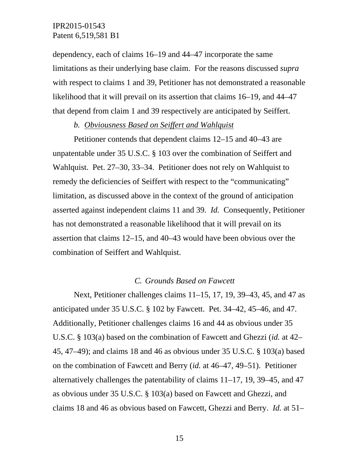dependency, each of claims 16–19 and 44–47 incorporate the same limitations as their underlying base claim. For the reasons discussed *supra* with respect to claims 1 and 39, Petitioner has not demonstrated a reasonable likelihood that it will prevail on its assertion that claims 16–19, and 44–47 that depend from claim 1 and 39 respectively are anticipated by Seiffert.

### *b. Obviousness Based on Seiffert and Wahlquist*

Petitioner contends that dependent claims 12–15 and 40–43 are unpatentable under 35 U.S.C. § 103 over the combination of Seiffert and Wahlquist. Pet. 27–30, 33–34. Petitioner does not rely on Wahlquist to remedy the deficiencies of Seiffert with respect to the "communicating" limitation, as discussed above in the context of the ground of anticipation asserted against independent claims 11 and 39. *Id.* Consequently, Petitioner has not demonstrated a reasonable likelihood that it will prevail on its assertion that claims 12–15, and 40–43 would have been obvious over the combination of Seiffert and Wahlquist.

### *C. Grounds Based on Fawcett*

Next, Petitioner challenges claims 11–15, 17, 19, 39–43, 45, and 47 as anticipated under 35 U.S.C. § 102 by Fawcett. Pet. 34–42, 45–46, and 47. Additionally, Petitioner challenges claims 16 and 44 as obvious under 35 U.S.C. § 103(a) based on the combination of Fawcett and Ghezzi (*id.* at 42– 45, 47–49); and claims 18 and 46 as obvious under 35 U.S.C. § 103(a) based on the combination of Fawcett and Berry (*id.* at 46–47, 49–51). Petitioner alternatively challenges the patentability of claims 11–17, 19, 39–45, and 47 as obvious under 35 U.S.C. § 103(a) based on Fawcett and Ghezzi, and claims 18 and 46 as obvious based on Fawcett, Ghezzi and Berry. *Id.* at 51–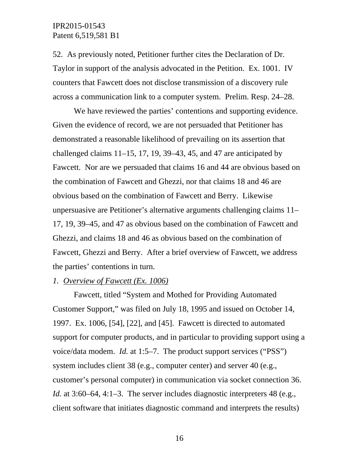52. As previously noted, Petitioner further cites the Declaration of Dr. Taylor in support of the analysis advocated in the Petition. Ex. 1001. IV counters that Fawcett does not disclose transmission of a discovery rule across a communication link to a computer system. Prelim. Resp. 24–28.

We have reviewed the parties' contentions and supporting evidence. Given the evidence of record, we are not persuaded that Petitioner has demonstrated a reasonable likelihood of prevailing on its assertion that challenged claims  $11-15$ , 17, 19, 39–43, 45, and 47 are anticipated by Fawcett. Nor are we persuaded that claims 16 and 44 are obvious based on the combination of Fawcett and Ghezzi, nor that claims 18 and 46 are obvious based on the combination of Fawcett and Berry. Likewise unpersuasive are Petitioner's alternative arguments challenging claims 11– 17, 19, 39–45, and 47 as obvious based on the combination of Fawcett and Ghezzi, and claims 18 and 46 as obvious based on the combination of Fawcett, Ghezzi and Berry. After a brief overview of Fawcett, we address the parties' contentions in turn.

### *1. Overview of Fawcett (Ex. 1006)*

Fawcett, titled "System and Mothed for Providing Automated Customer Support," was filed on July 18, 1995 and issued on October 14, 1997. Ex. 1006, [54], [22], and [45]. Fawcett is directed to automated support for computer products, and in particular to providing support using a voice/data modem. *Id.* at 1:5–7. The product support services ("PSS") system includes client 38 (e.g., computer center) and server 40 (e.g., customer's personal computer) in communication via socket connection 36. *Id.* at 3:60–64, 4:1–3. The server includes diagnostic interpreters 48 (e.g., client software that initiates diagnostic command and interprets the results)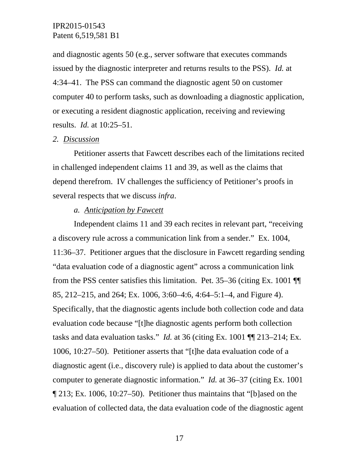and diagnostic agents 50 (e.g., server software that executes commands issued by the diagnostic interpreter and returns results to the PSS). *Id.* at 4:34–41. The PSS can command the diagnostic agent 50 on customer computer 40 to perform tasks, such as downloading a diagnostic application, or executing a resident diagnostic application, receiving and reviewing results. *Id.* at 10:25–51.

### *2. Discussion*

Petitioner asserts that Fawcett describes each of the limitations recited in challenged independent claims 11 and 39, as well as the claims that depend therefrom. IV challenges the sufficiency of Petitioner's proofs in several respects that we discuss *infra*.

### *a. Anticipation by Fawcett*

Independent claims 11 and 39 each recites in relevant part, "receiving a discovery rule across a communication link from a sender." Ex. 1004, 11:36–37. Petitioner argues that the disclosure in Fawcett regarding sending "data evaluation code of a diagnostic agent" across a communication link from the PSS center satisfies this limitation. Pet. 35–36 (citing Ex. 1001 ¶¶ 85, 212–215, and 264; Ex. 1006, 3:60–4:6, 4:64–5:1–4, and Figure 4). Specifically, that the diagnostic agents include both collection code and data evaluation code because "[t]he diagnostic agents perform both collection tasks and data evaluation tasks." *Id.* at 36 (citing Ex. 1001 ¶¶ 213–214; Ex. 1006, 10:27–50). Petitioner asserts that "[t]he data evaluation code of a diagnostic agent (i.e., discovery rule) is applied to data about the customer's computer to generate diagnostic information." *Id.* at 36–37 (citing Ex. 1001 ¶ 213; Ex. 1006, 10:27–50). Petitioner thus maintains that "[b]ased on the evaluation of collected data, the data evaluation code of the diagnostic agent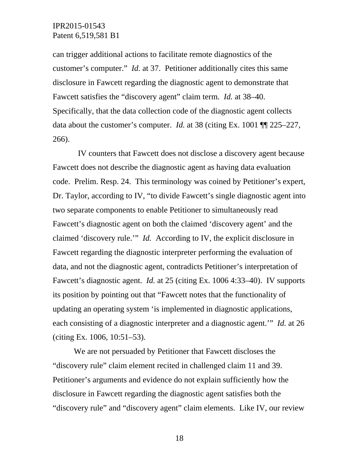can trigger additional actions to facilitate remote diagnostics of the customer's computer." *Id.* at 37. Petitioner additionally cites this same disclosure in Fawcett regarding the diagnostic agent to demonstrate that Fawcett satisfies the "discovery agent" claim term. *Id.* at 38–40. Specifically, that the data collection code of the diagnostic agent collects data about the customer's computer. *Id.* at 38 (citing Ex. 1001 ¶¶ 225–227, 266).

 IV counters that Fawcett does not disclose a discovery agent because Fawcett does not describe the diagnostic agent as having data evaluation code. Prelim. Resp. 24. This terminology was coined by Petitioner's expert, Dr. Taylor, according to IV, "to divide Fawcett's single diagnostic agent into two separate components to enable Petitioner to simultaneously read Fawcett's diagnostic agent on both the claimed 'discovery agent' and the claimed 'discovery rule.'" *Id.* According to IV, the explicit disclosure in Fawcett regarding the diagnostic interpreter performing the evaluation of data, and not the diagnostic agent, contradicts Petitioner's interpretation of Fawcett's diagnostic agent. *Id.* at 25 (citing Ex. 1006 4:33–40). IV supports its position by pointing out that "Fawcett notes that the functionality of updating an operating system 'is implemented in diagnostic applications, each consisting of a diagnostic interpreter and a diagnostic agent.'" *Id.* at 26 (citing Ex. 1006, 10:51–53).

We are not persuaded by Petitioner that Fawcett discloses the "discovery rule" claim element recited in challenged claim 11 and 39. Petitioner's arguments and evidence do not explain sufficiently how the disclosure in Fawcett regarding the diagnostic agent satisfies both the "discovery rule" and "discovery agent" claim elements. Like IV, our review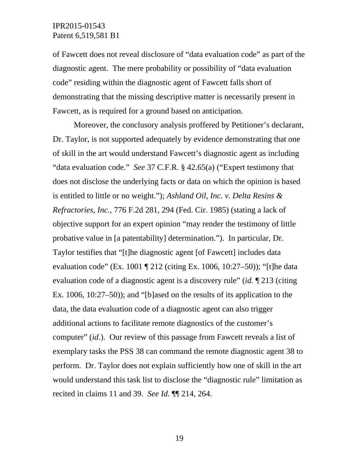of Fawcett does not reveal disclosure of "data evaluation code" as part of the diagnostic agent. The mere probability or possibility of "data evaluation code" residing within the diagnostic agent of Fawcett falls short of demonstrating that the missing descriptive matter is necessarily present in Fawcett, as is required for a ground based on anticipation.

Moreover, the conclusory analysis proffered by Petitioner's declarant, Dr. Taylor, is not supported adequately by evidence demonstrating that one of skill in the art would understand Fawcett's diagnostic agent as including "data evaluation code." *See* 37 C.F.R. § 42.65(a) ("Expert testimony that does not disclose the underlying facts or data on which the opinion is based is entitled to little or no weight."); *Ashland Oil, Inc. v. Delta Resins & Refractories, Inc.*, 776 F.2d 281, 294 (Fed. Cir. 1985) (stating a lack of objective support for an expert opinion "may render the testimony of little probative value in [a patentability] determination."). In particular, Dr. Taylor testifies that "[t]he diagnostic agent [of Fawcett] includes data evaluation code" (Ex. 1001 ¶ 212 (citing Ex. 1006, 10:27–50)); "[t]he data evaluation code of a diagnostic agent is a discovery rule" (*id.* ¶ 213 (citing Ex. 1006, 10:27–50)); and "[b]ased on the results of its application to the data, the data evaluation code of a diagnostic agent can also trigger additional actions to facilitate remote diagnostics of the customer's computer" (*id.*). Our review of this passage from Fawcett reveals a list of exemplary tasks the PSS 38 can command the remote diagnostic agent 38 to perform. Dr. Taylor does not explain sufficiently how one of skill in the art would understand this task list to disclose the "diagnostic rule" limitation as recited in claims 11 and 39. *See Id.* ¶¶ 214, 264.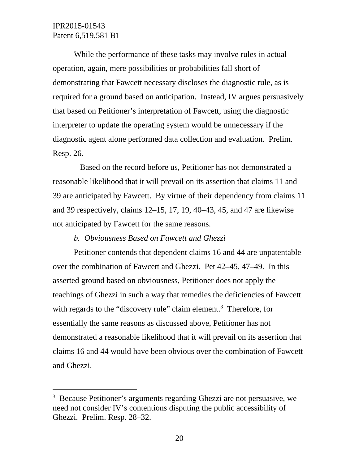$\overline{a}$ 

While the performance of these tasks may involve rules in actual operation, again, mere possibilities or probabilities fall short of demonstrating that Fawcett necessary discloses the diagnostic rule, as is required for a ground based on anticipation. Instead, IV argues persuasively that based on Petitioner's interpretation of Fawcett, using the diagnostic interpreter to update the operating system would be unnecessary if the diagnostic agent alone performed data collection and evaluation. Prelim. Resp. 26.

 Based on the record before us, Petitioner has not demonstrated a reasonable likelihood that it will prevail on its assertion that claims 11 and 39 are anticipated by Fawcett. By virtue of their dependency from claims 11 and 39 respectively, claims 12–15, 17, 19, 40–43, 45, and 47 are likewise not anticipated by Fawcett for the same reasons.

### *b. Obviousness Based on Fawcett and Ghezzi*

Petitioner contends that dependent claims 16 and 44 are unpatentable over the combination of Fawcett and Ghezzi. Pet 42–45, 47–49. In this asserted ground based on obviousness, Petitioner does not apply the teachings of Ghezzi in such a way that remedies the deficiencies of Fawcett with regards to the "discovery rule" claim element.<sup>3</sup> Therefore, for essentially the same reasons as discussed above, Petitioner has not demonstrated a reasonable likelihood that it will prevail on its assertion that claims 16 and 44 would have been obvious over the combination of Fawcett and Ghezzi.

<sup>&</sup>lt;sup>3</sup> Because Petitioner's arguments regarding Ghezzi are not persuasive, we need not consider IV's contentions disputing the public accessibility of Ghezzi. Prelim. Resp. 28–32.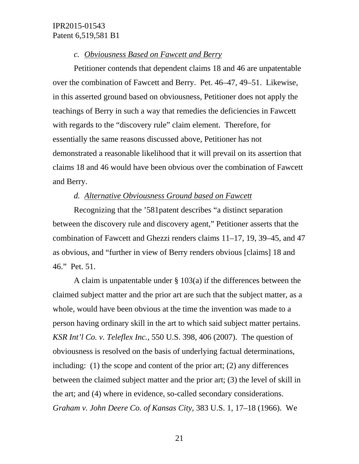### *c. Obviousness Based on Fawcett and Berry*

Petitioner contends that dependent claims 18 and 46 are unpatentable over the combination of Fawcett and Berry. Pet. 46–47, 49–51. Likewise, in this asserted ground based on obviousness, Petitioner does not apply the teachings of Berry in such a way that remedies the deficiencies in Fawcett with regards to the "discovery rule" claim element. Therefore, for essentially the same reasons discussed above, Petitioner has not demonstrated a reasonable likelihood that it will prevail on its assertion that claims 18 and 46 would have been obvious over the combination of Fawcett and Berry.

### *d. Alternative Obviousness Ground based on Fawcett*

Recognizing that the '581patent describes "a distinct separation between the discovery rule and discovery agent," Petitioner asserts that the combination of Fawcett and Ghezzi renders claims 11–17, 19, 39–45, and 47 as obvious, and "further in view of Berry renders obvious [claims] 18 and 46." Pet. 51.

A claim is unpatentable under § 103(a) if the differences between the claimed subject matter and the prior art are such that the subject matter, as a whole, would have been obvious at the time the invention was made to a person having ordinary skill in the art to which said subject matter pertains. *KSR Int'l Co. v. Teleflex Inc.*, 550 U.S. 398, 406 (2007). The question of obviousness is resolved on the basis of underlying factual determinations, including: (1) the scope and content of the prior art; (2) any differences between the claimed subject matter and the prior art; (3) the level of skill in the art; and (4) where in evidence, so-called secondary considerations. *Graham v. John Deere Co. of Kansas City*, 383 U.S. 1, 17–18 (1966). We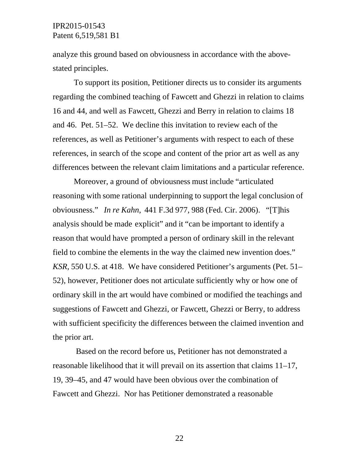analyze this ground based on obviousness in accordance with the abovestated principles.

To support its position, Petitioner directs us to consider its arguments regarding the combined teaching of Fawcett and Ghezzi in relation to claims 16 and 44, and well as Fawcett, Ghezzi and Berry in relation to claims 18 and 46. Pet. 51–52. We decline this invitation to review each of the references, as well as Petitioner's arguments with respect to each of these references, in search of the scope and content of the prior art as well as any differences between the relevant claim limitations and a particular reference.

Moreover, a ground of obviousness must include "articulated reasoning with some rational underpinning to support the legal conclusion of obviousness." *In re Kahn*, 441 F.3d 977, 988 (Fed. Cir. 2006). "[T]his analysis should be made explicit" and it "can be important to identify a reason that would have prompted a person of ordinary skill in the relevant field to combine the elements in the way the claimed new invention does." *KSR*, 550 U.S. at 418. We have considered Petitioner's arguments (Pet. 51– 52), however, Petitioner does not articulate sufficiently why or how one of ordinary skill in the art would have combined or modified the teachings and suggestions of Fawcett and Ghezzi, or Fawcett, Ghezzi or Berry, to address with sufficient specificity the differences between the claimed invention and the prior art.

 Based on the record before us, Petitioner has not demonstrated a reasonable likelihood that it will prevail on its assertion that claims 11–17, 19, 39–45, and 47 would have been obvious over the combination of Fawcett and Ghezzi. Nor has Petitioner demonstrated a reasonable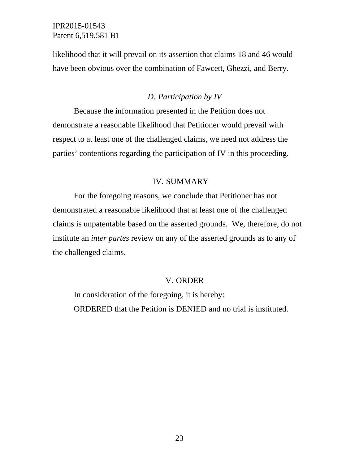likelihood that it will prevail on its assertion that claims 18 and 46 would have been obvious over the combination of Fawcett, Ghezzi, and Berry.

### *D. Participation by IV*

Because the information presented in the Petition does not demonstrate a reasonable likelihood that Petitioner would prevail with respect to at least one of the challenged claims, we need not address the parties' contentions regarding the participation of IV in this proceeding.

### IV. SUMMARY

For the foregoing reasons, we conclude that Petitioner has not demonstrated a reasonable likelihood that at least one of the challenged claims is unpatentable based on the asserted grounds. We, therefore, do not institute an *inter partes* review on any of the asserted grounds as to any of the challenged claims.

#### V. ORDER

In consideration of the foregoing, it is hereby: ORDERED that the Petition is DENIED and no trial is instituted.